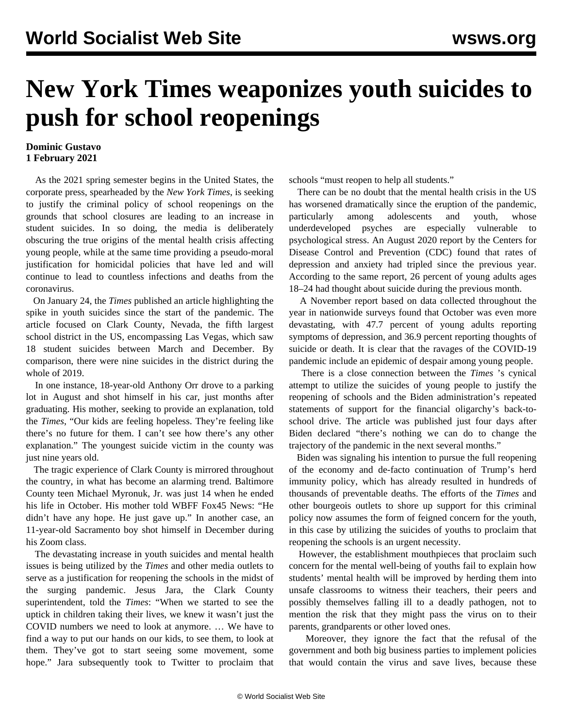## **New York Times weaponizes youth suicides to push for school reopenings**

## **Dominic Gustavo 1 February 2021**

 As the 2021 spring semester begins in the United States, the corporate press, spearheaded by the *New York Times*, is seeking to justify the criminal policy of school reopenings on the grounds that school closures are leading to an increase in student suicides. In so doing, the media is deliberately obscuring the true origins of the mental health crisis affecting young people, while at the same time providing a pseudo-moral justification for homicidal policies that have led and will continue to lead to countless infections and deaths from the coronavirus.

 On January 24, the *Times* published an article highlighting the spike in youth suicides since the start of the pandemic. The article focused on Clark County, Nevada, the fifth largest school district in the US, encompassing Las Vegas, which saw 18 student suicides between March and December. By comparison, there were nine suicides in the district during the whole of 2019.

 In one instance, 18-year-old Anthony Orr drove to a parking lot in August and shot himself in his car, just months after graduating. His mother, seeking to provide an explanation, told the *Times*, "Our kids are feeling hopeless. They're feeling like there's no future for them. I can't see how there's any other explanation." The youngest suicide victim in the county was just nine years old.

 The tragic experience of Clark County is mirrored throughout the country, in what has become an alarming trend. Baltimore County teen Michael Myronuk, Jr. was just 14 when he ended his life in October. His mother told WBFF Fox45 News: "He didn't have any hope. He just gave up." In another case, an 11-year-old Sacramento boy shot himself in December during his Zoom class.

 The devastating increase in youth suicides and mental health issues is being utilized by the *Times* and other media outlets to serve as a justification for reopening the schools in the midst of the surging pandemic. Jesus Jara, the Clark County superintendent, told the *Times*: "When we started to see the uptick in children taking their lives, we knew it wasn't just the COVID numbers we need to look at anymore. … We have to find a way to put our hands on our kids, to see them, to look at them. They've got to start seeing some movement, some hope." Jara subsequently took to Twitter to proclaim that schools "must reopen to help all students."

 There can be no doubt that the mental health crisis in the US has worsened dramatically since the eruption of the pandemic, particularly among adolescents and youth, whose underdeveloped psyches are especially vulnerable to psychological stress. An August 2020 report by the Centers for Disease Control and Prevention (CDC) found that rates of depression and anxiety had tripled since the previous year. According to the same report, 26 percent of young adults ages 18–24 had thought about suicide during the previous month.

 A November report based on data collected throughout the year in nationwide surveys found that October was even more devastating, with 47.7 percent of young adults reporting symptoms of depression, and 36.9 percent reporting thoughts of suicide or death. It is clear that the ravages of the COVID-19 pandemic include an epidemic of despair among young people.

 There is a close connection between the *Times* 's cynical attempt to utilize the suicides of young people to justify the reopening of schools and the Biden administration's repeated statements of support for the financial oligarchy's back-toschool drive. The article was published just four days after Biden declared "there's nothing we can do to change the trajectory of the pandemic in the next several months."

 Biden was signaling his intention to pursue the full reopening of the economy and de-facto continuation of Trump's herd immunity policy, which has already resulted in hundreds of thousands of preventable deaths. The efforts of the *Times* and other bourgeois outlets to shore up support for this criminal policy now assumes the form of feigned concern for the youth, in this case by utilizing the suicides of youths to proclaim that reopening the schools is an urgent necessity.

 However, the establishment mouthpieces that proclaim such concern for the mental well-being of youths fail to explain how students' mental health will be improved by herding them into unsafe classrooms to witness their teachers, their peers and possibly themselves falling ill to a deadly pathogen, not to mention the risk that they might pass the virus on to their parents, grandparents or other loved ones.

 Moreover, they ignore the fact that the refusal of the government and both big business parties to implement policies that would contain the virus and save lives, because these